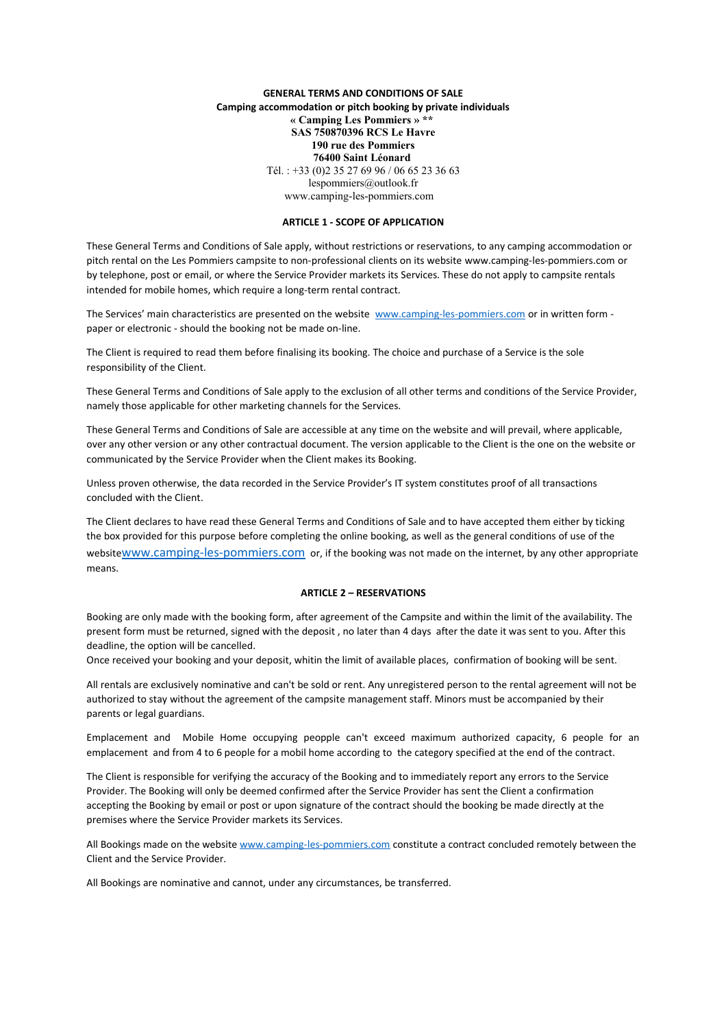## **GENERAL TERMS AND CONDITIONS OF SALE Camping accommodation or pitch booking by private individuals « Camping Les Pommiers » \*\* SAS 750870396 RCS Le Havre 190 rue des Pommiers 76400 Saint Léonard**  Tél. : +33 (0)2 35 27 69 96 / 06 65 23 36 63 lespommiers@outlook.fr www.camping-les-pommiers.com

### **ARTICLE 1 - SCOPE OF APPLICATION**

These General Terms and Conditions of Sale apply, without restrictions or reservations, to any camping accommodation or pitch rental on the Les Pommiers campsite to non-professional clients on its website www.camping-les-pommiers.com or by telephone, post or email, or where the Service Provider markets its Services. These do not apply to campsite rentals intended for mobile homes, which require a long-term rental contract.

The Services' main characteristics are presented on the website [www.camping-les-pommiers.com](http://www.camping-les-pommiers.com/) or in written form paper or electronic - should the booking not be made on-line.

The Client is required to read them before finalising its booking. The choice and purchase of a Service is the sole responsibility of the Client.

These General Terms and Conditions of Sale apply to the exclusion of all other terms and conditions of the Service Provider, namely those applicable for other marketing channels for the Services.

These General Terms and Conditions of Sale are accessible at any time on the website and will prevail, where applicable, over any other version or any other contractual document. The version applicable to the Client is the one on the website or communicated by the Service Provider when the Client makes its Booking.

Unless proven otherwise, the data recorded in the Service Provider's IT system constitutes proof of all transactions concluded with the Client.

The Client declares to have read these General Terms and Conditions of Sale and to have accepted them either by ticking the box provided for this purpose before completing the online booking, as well as the general conditions of use of the website[www.camping-les-pommiers.com](http://www.camping-les-pommiers.com/) or, if the booking was not made on the internet, by any other appropriate means.

### **ARTICLE 2 – RESERVATIONS**

Booking are only made with the booking form, after agreement of the Campsite and within the limit of the availability. The present form must be returned, signed with the deposit , no later than 4 days after the date it was sent to you. After this deadline, the option will be cancelled.

Once received your booking and your deposit, whitin the limit of available places, confirmation of booking will be sent.

All rentals are exclusively nominative and can't be sold or rent. Any unregistered person to the rental agreement will not be authorized to stay without the agreement of the campsite management staff. Minors must be accompanied by their parents or legal guardians.

Emplacement and Mobile Home occupying peopple can't exceed maximum authorized capacity, 6 people for an emplacement and from 4 to 6 people for a mobil home according to the category specified at the end of the contract.

The Client is responsible for verifying the accuracy of the Booking and to immediately report any errors to the Service Provider. The Booking will only be deemed confirmed after the Service Provider has sent the Client a confirmation accepting the Booking by email or post or upon signature of the contract should the booking be made directly at the premises where the Service Provider markets its Services.

All Bookings made on the website [www.camping-les-pommiers.com](http://www.camping-les-pommiers.com/) constitute a contract concluded remotely between the Client and the Service Provider.

All Bookings are nominative and cannot, under any circumstances, be transferred.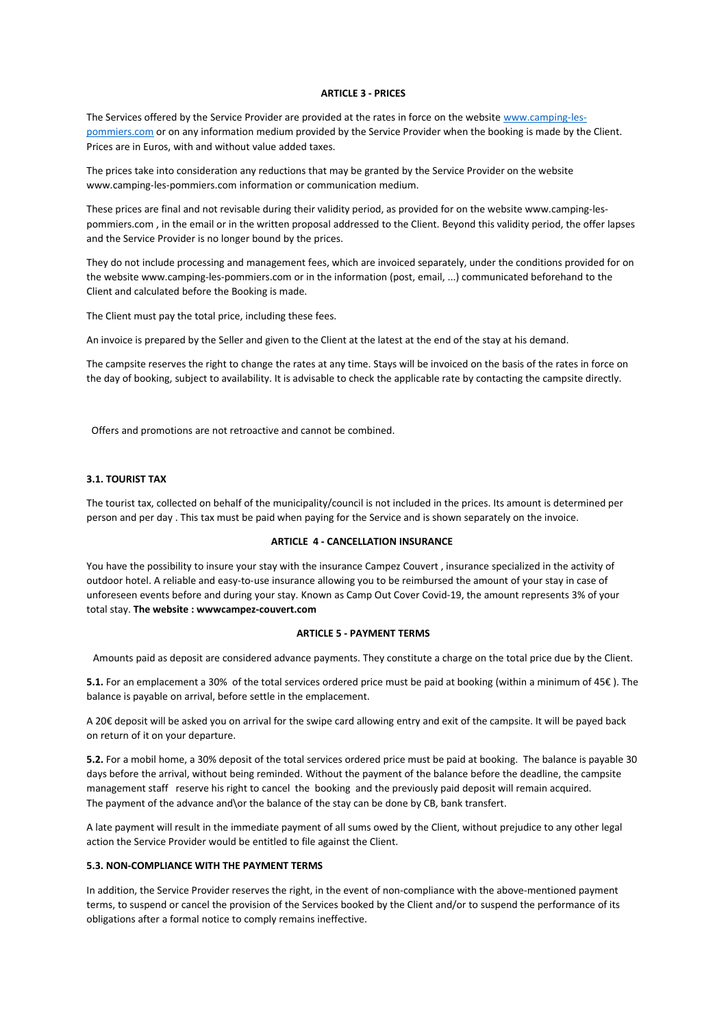#### **ARTICLE 3 - PRICES**

The Services offered by the Service Provider are provided at the rates in force on the website [www.camping-les](http://www.camping-les-pommiers.com/)[pommiers.com](http://www.camping-les-pommiers.com/) or on any information medium provided by the Service Provider when the booking is made by the Client. Prices are in Euros, with and without value added taxes.

The prices take into consideration any reductions that may be granted by the Service Provider on the website www.camping-les-pommiers.com information or communication medium.

These prices are final and not revisable during their validity period, as provided for on the website www.camping-lespommiers.com , in the email or in the written proposal addressed to the Client. Beyond this validity period, the offer lapses and the Service Provider is no longer bound by the prices.

They do not include processing and management fees, which are invoiced separately, under the conditions provided for on the website www.camping-les-pommiers.com or in the information (post, email, ...) communicated beforehand to the Client and calculated before the Booking is made.

The Client must pay the total price, including these fees.

An invoice is prepared by the Seller and given to the Client at the latest at the end of the stay at his demand.

The campsite reserves the right to change the rates at any time. Stays will be invoiced on the basis of the rates in force on the day of booking, subject to availability. It is advisable to check the applicable rate by contacting the campsite directly.

Offers and promotions are not retroactive and cannot be combined.

### **3.1. TOURIST TAX**

The tourist tax, collected on behalf of the municipality/council is not included in the prices. Its amount is determined per person and per day . This tax must be paid when paying for the Service and is shown separately on the invoice.

#### **ARTICLE 4 - CANCELLATION INSURANCE**

You have the possibility to insure your stay with the insurance Campez Couvert , insurance specialized in the activity of outdoor hotel. A reliable and easy-to-use insurance allowing you to be reimbursed the amount of your stay in case of unforeseen events before and during your stay. Known as Camp Out Cover Covid-19, the amount represents 3% of your total stay. **The website : wwwcampez-couvert.com**

#### **ARTICLE 5 - PAYMENT TERMS**

Amounts paid as deposit are considered advance payments. They constitute a charge on the total price due by the Client.

**5.1.** For an emplacement a 30% of the total services ordered price must be paid at booking (within a minimum of 45€ ). The balance is payable on arrival, before settle in the emplacement.

A 20€ deposit will be asked you on arrival for the swipe card allowing entry and exit of the campsite. It will be payed back on return of it on your departure.

**5.2.** For a mobil home, a 30% deposit of the total services ordered price must be paid at booking. The balance is payable 30 days before the arrival, without being reminded. Without the payment of the balance before the deadline, the campsite management staff reserve his right to cancel the booking and the previously paid deposit will remain acquired. The payment of the advance and\or the balance of the stay can be done by CB, bank transfert.

A late payment will result in the immediate payment of all sums owed by the Client, without prejudice to any other legal action the Service Provider would be entitled to file against the Client.

#### **5.3. NON-COMPLIANCE WITH THE PAYMENT TERMS**

In addition, the Service Provider reserves the right, in the event of non-compliance with the above-mentioned payment terms, to suspend or cancel the provision of the Services booked by the Client and/or to suspend the performance of its obligations after a formal notice to comply remains ineffective.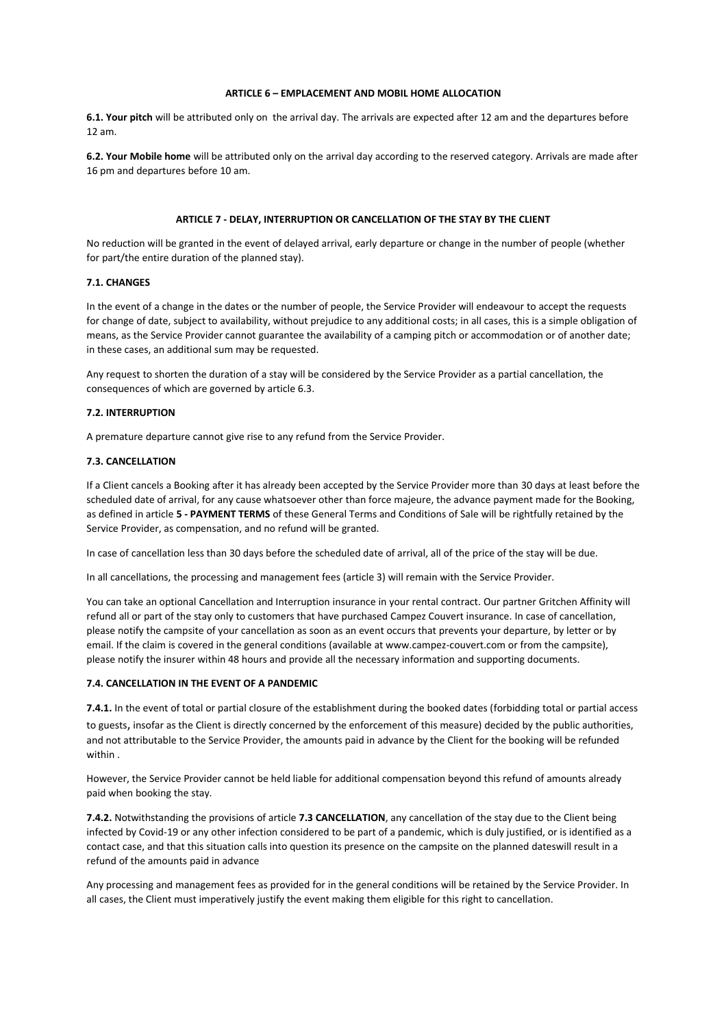### **ARTICLE 6 – EMPLACEMENT AND MOBIL HOME ALLOCATION**

**6.1. Your pitch** will be attributed only on the arrival day. The arrivals are expected after 12 am and the departures before 12 am.

**6.2. Your Mobile home** will be attributed only on the arrival day according to the reserved category. Arrivals are made after 16 pm and departures before 10 am.

### **ARTICLE 7 - DELAY, INTERRUPTION OR CANCELLATION OF THE STAY BY THE CLIENT**

No reduction will be granted in the event of delayed arrival, early departure or change in the number of people (whether for part/the entire duration of the planned stay).

## **7.1. CHANGES**

In the event of a change in the dates or the number of people, the Service Provider will endeavour to accept the requests for change of date, subject to availability, without prejudice to any additional costs; in all cases, this is a simple obligation of means, as the Service Provider cannot guarantee the availability of a camping pitch or accommodation or of another date; in these cases, an additional sum may be requested.

Any request to shorten the duration of a stay will be considered by the Service Provider as a partial cancellation, the consequences of which are governed by article 6.3.

### **7.2. INTERRUPTION**

A premature departure cannot give rise to any refund from the Service Provider.

#### **7.3. CANCELLATION**

If a Client cancels a Booking after it has already been accepted by the Service Provider more than 30 days at least before the scheduled date of arrival, for any cause whatsoever other than force majeure, the advance payment made for the Booking, as defined in article **5 - PAYMENT TERMS** of these General Terms and Conditions of Sale will be rightfully retained by the Service Provider, as compensation, and no refund will be granted.

In case of cancellation less than 30 days before the scheduled date of arrival, all of the price of the stay will be due.

In all cancellations, the processing and management fees (article 3) will remain with the Service Provider.

You can take an optional Cancellation and Interruption insurance in your rental contract. Our partner Gritchen Affinity will refund all or part of the stay only to customers that have purchased Campez Couvert insurance. In case of cancellation, please notify the campsite of your cancellation as soon as an event occurs that prevents your departure, by letter or by email. If the claim is covered in the general conditions (available at www.campez-couvert.com or from the campsite), please notify the insurer within 48 hours and provide all the necessary information and supporting documents.

#### **7.4. CANCELLATION IN THE EVENT OF A PANDEMIC**

**7.4.1.** In the event of total or partial closure of the establishment during the booked dates (forbidding total or partial access to guests, insofar as the Client is directly concerned by the enforcement of this measure) decided by the public authorities, and not attributable to the Service Provider, the amounts paid in advance by the Client for the booking will be refunded within .

However, the Service Provider cannot be held liable for additional compensation beyond this refund of amounts already paid when booking the stay.

**7.4.2.** Notwithstanding the provisions of article **7.3 CANCELLATION**, any cancellation of the stay due to the Client being infected by Covid-19 or any other infection considered to be part of a pandemic, which is duly justified, or is identified as a contact case, and that this situation calls into question its presence on the campsite on the planned dateswill result in a refund of the amounts paid in advance

Any processing and management fees as provided for in the general conditions will be retained by the Service Provider. In all cases, the Client must imperatively justify the event making them eligible for this right to cancellation.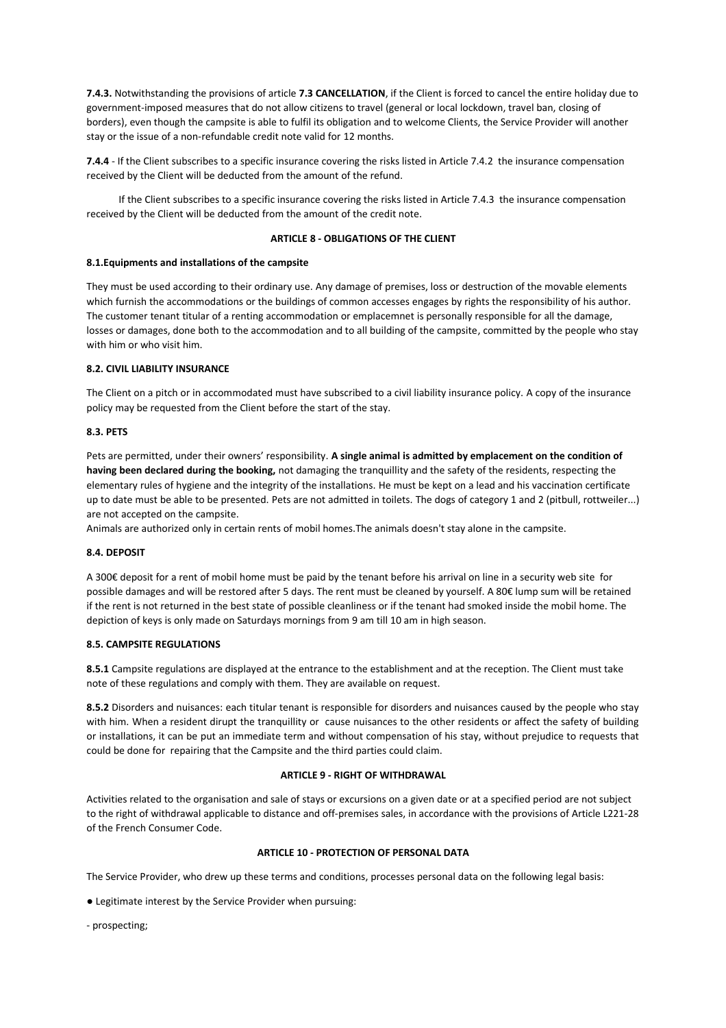**7.4.3.** Notwithstanding the provisions of article **7.3 CANCELLATION**, if the Client is forced to cancel the entire holiday due to government-imposed measures that do not allow citizens to travel (general or local lockdown, travel ban, closing of borders), even though the campsite is able to fulfil its obligation and to welcome Clients, the Service Provider will another stay or the issue of a non-refundable credit note valid for 12 months.

**7.4.4** - If the Client subscribes to a specific insurance covering the risks listed in Article 7.4.2 the insurance compensation received by the Client will be deducted from the amount of the refund.

 If the Client subscribes to a specific insurance covering the risks listed in Article 7.4.3 the insurance compensation received by the Client will be deducted from the amount of the credit note.

### **ARTICLE 8 - OBLIGATIONS OF THE CLIENT**

### **8.1.Equipments and installations of the campsite**

They must be used according to their ordinary use. Any damage of premises, loss or destruction of the movable elements which furnish the accommodations or the buildings of common accesses engages by rights the responsibility of his author. The customer tenant titular of a renting accommodation or emplacemnet is personally responsible for all the damage, losses or damages, done both to the accommodation and to all building of the campsite, committed by the people who stay with him or who visit him.

## **8.2. CIVIL LIABILITY INSURANCE**

The Client on a pitch or in accommodated must have subscribed to a civil liability insurance policy. A copy of the insurance policy may be requested from the Client before the start of the stay.

## **8.3. PETS**

Pets are permitted, under their owners' responsibility. A single animal is admitted by emplacement on the condition of **having been declared during the booking,** not damaging the tranquillity and the safety of the residents, respecting the elementary rules of hygiene and the integrity of the installations. He must be kept on a lead and his vaccination certificate up to date must be able to be presented. Pets are not admitted in toilets. The dogs of category 1 and 2 (pitbull, rottweiler...) are not accepted on the campsite.

Animals are authorized only in certain rents of mobil homes.The animals doesn't stay alone in the campsite.

## **8.4. DEPOSIT**

A 300€ deposit for a rent of mobil home must be paid by the tenant before his arrival on line in a security web site for possible damages and will be restored after 5 days. The rent must be cleaned by yourself. A 80€ lump sum will be retained if the rent is not returned in the best state of possible cleanliness or if the tenant had smoked inside the mobil home. The depiction of keys is only made on Saturdays mornings from 9 am till 10 am in high season.

#### **8.5. CAMPSITE REGULATIONS**

**8.5.1** Campsite regulations are displayed at the entrance to the establishment and at the reception. The Client must take note of these regulations and comply with them. They are available on request.

**8.5.2** Disorders and nuisances: each titular tenant is responsible for disorders and nuisances caused by the people who stay with him. When a resident dirupt the tranquillity or cause nuisances to the other residents or affect the safety of building or installations, it can be put an immediate term and without compensation of his stay, without prejudice to requests that could be done for repairing that the Campsite and the third parties could claim.

## **ARTICLE 9 - RIGHT OF WITHDRAWAL**

Activities related to the organisation and sale of stays or excursions on a given date or at a specified period are not subject to the right of withdrawal applicable to distance and off-premises sales, in accordance with the provisions of Article L221-28 of the French Consumer Code.

# **ARTICLE 10 - PROTECTION OF PERSONAL DATA**

The Service Provider, who drew up these terms and conditions, processes personal data on the following legal basis:

● Legitimate interest by the Service Provider when pursuing:

- prospecting;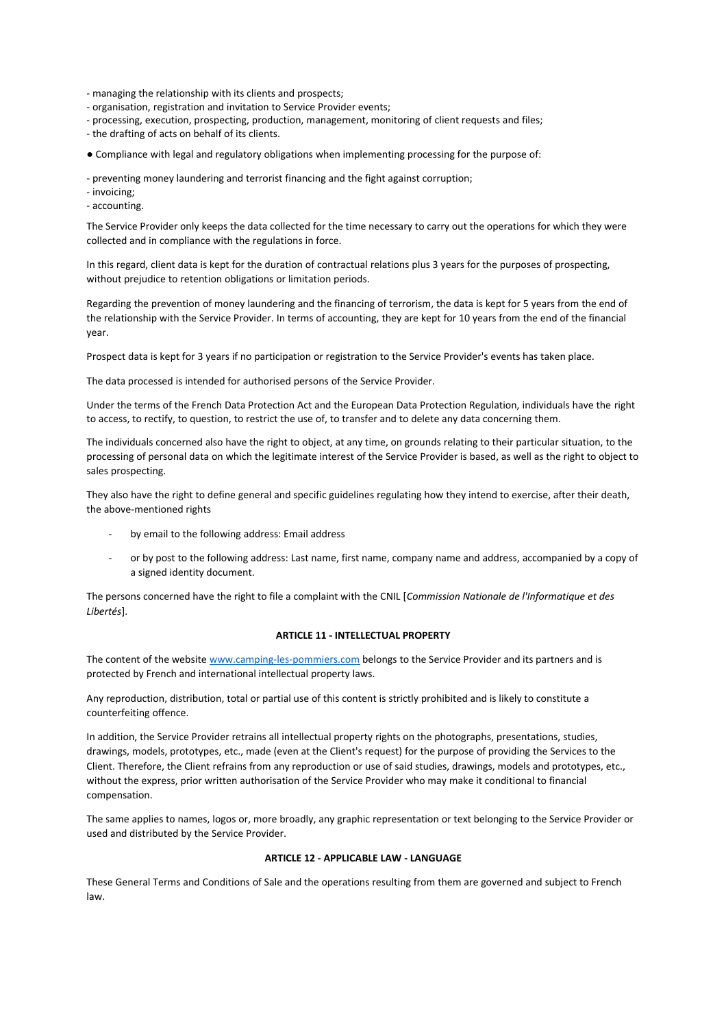- managing the relationship with its clients and prospects;

- organisation, registration and invitation to Service Provider events;
- processing, execution, prospecting, production, management, monitoring of client requests and files;
- the drafting of acts on behalf of its clients.
- Compliance with legal and regulatory obligations when implementing processing for the purpose of:
- preventing money laundering and terrorist financing and the fight against corruption;
- invoicing;
- accounting.

The Service Provider only keeps the data collected for the time necessary to carry out the operations for which they were collected and in compliance with the regulations in force.

In this regard, client data is kept for the duration of contractual relations plus 3 years for the purposes of prospecting, without prejudice to retention obligations or limitation periods.

Regarding the prevention of money laundering and the financing of terrorism, the data is kept for 5 years from the end of the relationship with the Service Provider. In terms of accounting, they are kept for 10 years from the end of the financial year.

Prospect data is kept for 3 years if no participation or registration to the Service Provider's events has taken place.

The data processed is intended for authorised persons of the Service Provider.

Under the terms of the French Data Protection Act and the European Data Protection Regulation, individuals have the right to access, to rectify, to question, to restrict the use of, to transfer and to delete any data concerning them.

The individuals concerned also have the right to object, at any time, on grounds relating to their particular situation, to the processing of personal data on which the legitimate interest of the Service Provider is based, as well as the right to object to sales prospecting.

They also have the right to define general and specific guidelines regulating how they intend to exercise, after their death, the above-mentioned rights

- by email to the following address: Email address
- or by post to the following address: Last name, first name, company name and address, accompanied by a copy of a signed identity document.

The persons concerned have the right to file a complaint with the CNIL [*Commission Nationale de l'Informatique et des Libertés*].

# **ARTICLE 11 - INTELLECTUAL PROPERTY**

The content of the website [www.camping-les-pommiers.com](http://www.camping-les-pommiers.com/) belongs to the Service Provider and its partners and is protected by French and international intellectual property laws.

Any reproduction, distribution, total or partial use of this content is strictly prohibited and is likely to constitute a counterfeiting offence.

In addition, the Service Provider retrains all intellectual property rights on the photographs, presentations, studies, drawings, models, prototypes, etc., made (even at the Client's request) for the purpose of providing the Services to the Client. Therefore, the Client refrains from any reproduction or use of said studies, drawings, models and prototypes, etc., without the express, prior written authorisation of the Service Provider who may make it conditional to financial compensation.

The same applies to names, logos or, more broadly, any graphic representation or text belonging to the Service Provider or used and distributed by the Service Provider.

## **ARTICLE 12 - APPLICABLE LAW - LANGUAGE**

These General Terms and Conditions of Sale and the operations resulting from them are governed and subject to French law.